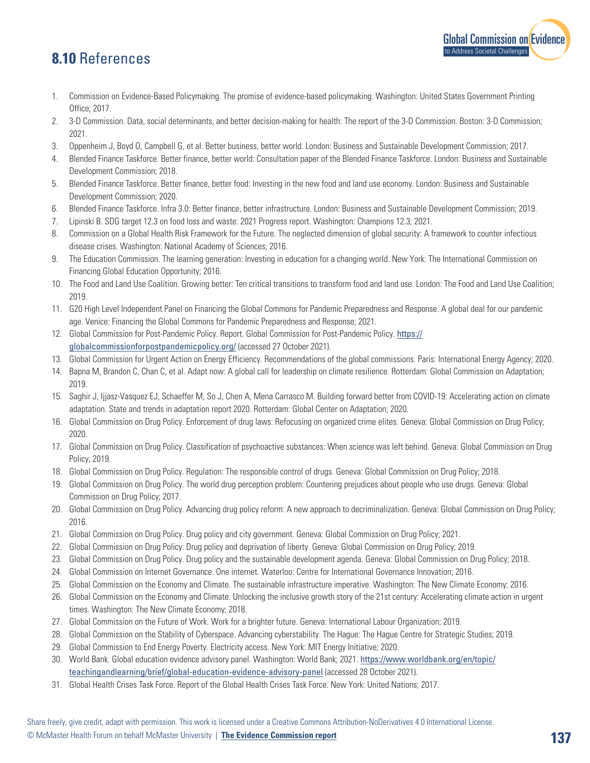## **8.10** References

- 1. Commission on Evidence-Based Policymaking. The promise of evidence-based policymaking. Washington: United States Government Printing Office; 2017.
- 2. 3-D Commission. Data, social determinants, and better decision-making for health: The report of the 3-D Commission. Boston: 3-D Commission; 2021.
- 3. Oppenheim J, Boyd O, Campbell G, et al. Better business, better world. London: Business and Sustainable Development Commission; 2017.
- 4. Blended Finance Taskforce. Better finance, better world: Consultation paper of the Blended Finance Taskforce. London: Business and Sustainable Development Commission; 2018.
- 5. Blended Finance Taskforce. Better finance, better food: Investing in the new food and land use economy. London: Business and Sustainable Development Commission; 2020.
- 6. Blended Finance Taskforce. Infra 3.0: Better finance, better infrastructure. London: Business and Sustainable Development Commission; 2019.
- 7. Lipinski B. SDG target 12.3 on food loss and waste: 2021 Progress report. Washington: Champions 12.3; 2021.
- 8. Commission on a Global Health Risk Framework for the Future. The neglected dimension of global security: A framework to counter infectious disease crises. Washington: National Academy of Sciences; 2016.
- 9. The Education Commission. The learning generation: Investing in education for a changing world. New York: The International Commission on Financing Global Education Opportunity; 2016.
- 10. The Food and Land Use Coalition. Growing better: Ten critical transitions to transform food and land use. London: The Food and Land Use Coalition; 2019.
- 11. G20 High Level Independent Panel on Financing the Global Commons for Pandemic Preparedness and Response. A global deal for our pandemic age. Venice: Financing the Global Commons for Pandemic Preparedness and Response; 2021.
- 12. Global Commission for Post-Pandemic Policy. Report. Global Commission for Post-Pandemic Policy. [https://](https://globalcommissionforpostpandemicpolicy.org/) [globalcommissionforpostpandemicpolicy.org/](https://globalcommissionforpostpandemicpolicy.org/) (accessed 27 October 2021).
- 13. Global Commission for Urgent Action on Energy Efficiency. Recommendations of the global commissions. Paris: International Energy Agency; 2020.
- 14. Bapna M, Brandon C, Chan C, et al. Adapt now: A global call for leadership on climate resilience. Rotterdam: Global Commission on Adaptation; 2019.
- 15. Saghir J, Ijjasz-Vasquez EJ, Schaeffer M, So J, Chen A, Mena Carrasco M. Building forward better from COVID-19: Accelerating action on climate adaptation. State and trends in adaptation report 2020. Rotterdam: Global Center on Adaptation; 2020.
- 16. Global Commission on Drug Policy. Enforcement of drug laws: Refocusing on organized crime elites. Geneva: Global Commission on Drug Policy; 2020.
- 17. Global Commission on Drug Policy. Classification of psychoactive substances: When science was left behind. Geneva: Global Commission on Drug Policy; 2019.
- 18. Global Commission on Drug Policy. Regulation: The responsible control of drugs. Geneva: Global Commission on Drug Policy; 2018.
- 19. Global Commission on Drug Policy. The world drug perception problem: Countering prejudices about people who use drugs. Geneva: Global Commission on Drug Policy; 2017.
- 20. Global Commission on Drug Policy. Advancing drug policy reform: A new approach to decriminalization. Geneva: Global Commission on Drug Policy; 2016.
- 21. Global Commission on Drug Policy. Drug policy and city government. Geneva: Global Commission on Drug Policy; 2021.
- 22. Global Commission on Drug Policy. Drug policy and deprivation of liberty. Geneva: Global Commission on Drug Policy; 2019.
- 23. Global Commission on Drug Policy. Drug policy and the sustainable development agenda. Geneva: Global Commission on Drug Policy; 2018.
- 24. Global Commission on Internet Governance. One internet. Waterloo: Centre for International Governance Innovation; 2016.
- 25. Global Commission on the Economy and Climate. The sustainable infrastructure imperative. Washington: The New Climate Economy; 2016.
- 26. Global Commission on the Economy and Climate. Unlocking the inclusive growth story of the 21st century: Accelerating climate action in urgent times. Washington: The New Climate Economy; 2018.
- 27. Global Commission on the Future of Work. Work for a brighter future. Geneva: International Labour Organization; 2019.
- 28. Global Commission on the Stability of Cyberspace. Advancing cyberstability. The Hague: The Hague Centre for Strategic Studies; 2019.
- 29. Global Commission to End Energy Poverty. Electricity access. New York: MIT Energy Initiative; 2020.
- 30. World Bank. Global education evidence advisory panel. Washington: World Bank; 2021. [https://www.worldbank.org/en/topic/](https://www.worldbank.org/en/topic/teachingandlearning/brief/global-education-evidence-advisory-panel) [teachingandlearning/brief/global-education-evidence-advisory-panel](https://www.worldbank.org/en/topic/teachingandlearning/brief/global-education-evidence-advisory-panel) (accessed 28 October 2021).
- 31. Global Health Crises Task Force. Report of the Global Health Crises Task Force. New York: United Nations; 2017.

[Global Commission on Evidence](https://www.mcmasterforum.org/networks/evidence-commission/report/english)

to Address Societal Challenges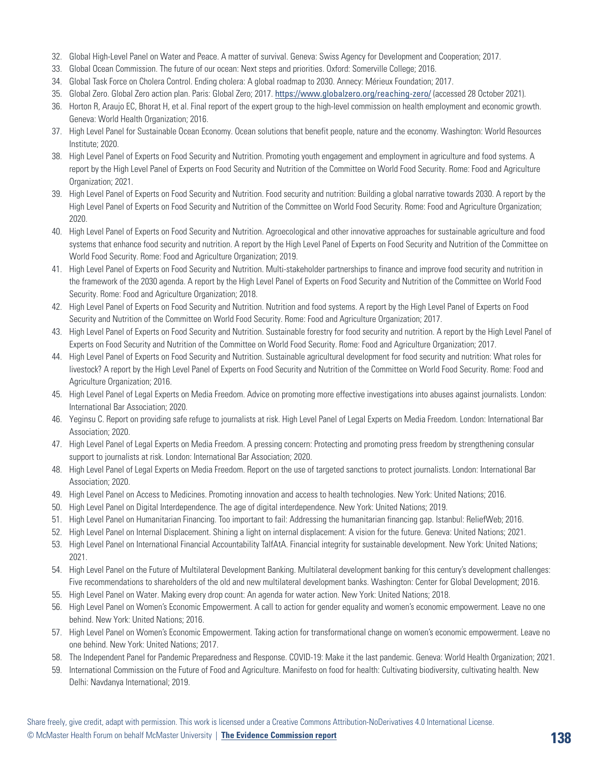- 32. Global High-Level Panel on Water and Peace. A matter of survival. Geneva: Swiss Agency for Development and Cooperation; 2017.
- 33. Global Ocean Commission. The future of our ocean: Next steps and priorities. Oxford: Somerville College; 2016.
- 34. Global Task Force on Cholera Control. Ending cholera: A global roadmap to 2030. Annecy: Mérieux Foundation; 2017.
- 35. Global Zero. Global Zero action plan. Paris: Global Zero; 2017. <https://www.globalzero.org/reaching-zero/> (accessed 28 October 2021).
- 36. Horton R, Araujo EC, Bhorat H, et al. Final report of the expert group to the high-level commission on health employment and economic growth. Geneva: World Health Organization; 2016.
- 37. High Level Panel for Sustainable Ocean Economy. Ocean solutions that benefit people, nature and the economy. Washington: World Resources Institute; 2020.
- 38. High Level Panel of Experts on Food Security and Nutrition. Promoting youth engagement and employment in agriculture and food systems. A report by the High Level Panel of Experts on Food Security and Nutrition of the Committee on World Food Security. Rome: Food and Agriculture Organization; 2021.
- 39. High Level Panel of Experts on Food Security and Nutrition. Food security and nutrition: Building a global narrative towards 2030. A report by the High Level Panel of Experts on Food Security and Nutrition of the Committee on World Food Security. Rome: Food and Agriculture Organization; 2020.
- 40. High Level Panel of Experts on Food Security and Nutrition. Agroecological and other innovative approaches for sustainable agriculture and food systems that enhance food security and nutrition. A report by the High Level Panel of Experts on Food Security and Nutrition of the Committee on World Food Security. Rome: Food and Agriculture Organization; 2019.
- 41. High Level Panel of Experts on Food Security and Nutrition. Multi-stakeholder partnerships to finance and improve food security and nutrition in the framework of the 2030 agenda. A report by the High Level Panel of Experts on Food Security and Nutrition of the Committee on World Food Security. Rome: Food and Agriculture Organization; 2018.
- 42. High Level Panel of Experts on Food Security and Nutrition. Nutrition and food systems. A report by the High Level Panel of Experts on Food Security and Nutrition of the Committee on World Food Security. Rome: Food and Agriculture Organization; 2017.
- 43. High Level Panel of Experts on Food Security and Nutrition. Sustainable forestry for food security and nutrition. A report by the High Level Panel of Experts on Food Security and Nutrition of the Committee on World Food Security. Rome: Food and Agriculture Organization; 2017.
- 44. High Level Panel of Experts on Food Security and Nutrition. Sustainable agricultural development for food security and nutrition: What roles for livestock? A report by the High Level Panel of Experts on Food Security and Nutrition of the Committee on World Food Security. Rome: Food and Agriculture Organization; 2016.
- 45. High Level Panel of Legal Experts on Media Freedom. Advice on promoting more effective investigations into abuses against journalists. London: International Bar Association; 2020.
- 46. Yeginsu C. Report on providing safe refuge to journalists at risk. High Level Panel of Legal Experts on Media Freedom. London: International Bar Association; 2020.
- 47. High Level Panel of Legal Experts on Media Freedom. A pressing concern: Protecting and promoting press freedom by strengthening consular support to journalists at risk. London: International Bar Association; 2020.
- 48. High Level Panel of Legal Experts on Media Freedom. Report on the use of targeted sanctions to protect journalists. London: International Bar Association; 2020.
- 49. High Level Panel on Access to Medicines. Promoting innovation and access to health technologies. New York: United Nations; 2016.
- 50. High Level Panel on Digital Interdependence. The age of digital interdependence. New York: United Nations; 2019.
- 51. High Level Panel on Humanitarian Financing. Too important to fail: Addressing the humanitarian financing gap. Istanbul: ReliefWeb; 2016.
- 52. High Level Panel on Internal Displacement. Shining a light on internal displacement: A vision for the future. Geneva: United Nations; 2021.
- 53. High Level Panel on International Financial Accountability TaIfAtA. Financial integrity for sustainable development. New York: United Nations; 2021.
- 54. High Level Panel on the Future of Multilateral Development Banking. Multilateral development banking for this century's development challenges: Five recommendations to shareholders of the old and new multilateral development banks. Washington: Center for Global Development; 2016.
- 55. High Level Panel on Water. Making every drop count: An agenda for water action. New York: United Nations; 2018.
- 56. High Level Panel on Women's Economic Empowerment. A call to action for gender equality and women's economic empowerment. Leave no one behind. New York: United Nations; 2016.
- 57. High Level Panel on Women's Economic Empowerment. Taking action for transformational change on women's economic empowerment. Leave no one behind. New York: United Nations; 2017.
- 58. The Independent Panel for Pandemic Preparedness and Response. COVID-19: Make it the last pandemic. Geneva: World Health Organization; 2021.
- 59. International Commission on the Future of Food and Agriculture. Manifesto on food for health: Cultivating biodiversity, cultivating health. New Delhi: Navdanya International; 2019.